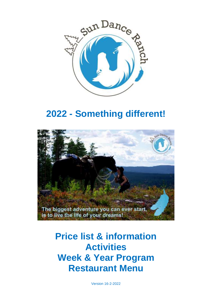

## **2022 - Something different!**



# **Price list & information Activities Week & Year Program Restaurant Menu**

Version 16-2-2022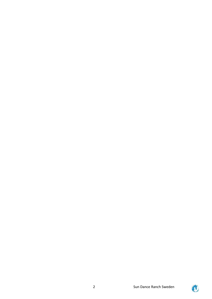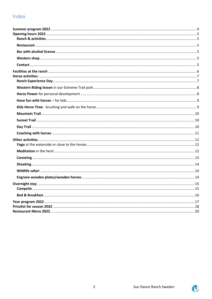## Index

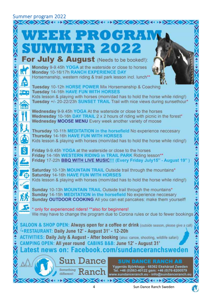# <span id="page-3-0"></span>Summer program 2022

'nП

ÎЮ

侖

 $S$ 

# EEK PROGRA **IVIVIER 2022**

For July & August (Needs to be booked!):

Monday 9-9.45h YOGA at the waterside or close to horses Monday 10-16/17h RANCH EXPERIENCE DAY Horsemanship, western riding & trail park lesson incl. lunch\*\*

Tuesday 10-12h HORSE POWER Mix Horsemanship & Coaching Tuesday 14-16h HAVE FUN WITH HORSES Kids lesson & playing with horses (mom/dad has to hold the horse while riding!)

Tuesday +/- 20-22/23h SUNSET TRAIL Trail with nice views during sunsethour\*

Wednesday 9-9.45h YOGA At the waterside or close to the horses Wednesday 10-16h DAY TRAIL 2 x 2 hours of riding with picnic in the forest\* Wednesday MOOSE MENU Every week another variety of moose

Thursday 10-11h MEDITATION in the horsefield No experience neccesary Thursday 14-16h HAVE FUN WITH HORSES Kids lesson & playing with horses (mom/dad has to hold the horse while riding!)

Friday 9-9.45h YOGA at the waterside or close to the horses Friday 14-16h WESTERN RIDING in TRAIL PARK Riding lesson\*\* Friday 17-22h BBQ WITH LIVE MUSIC !!! (Every Friday July15" - August 19")

Saturday 10-13h MOUNTAIN TRAIL Outside trail through the mountains\* Saturday 14-16h HAVE FUN WITH HORSES Kids lesson & playing with horses (mom/dad has to hold the horse while riding!)

Sunday 10-13h MOUNTAIN TRAIL Outside trail through the mountains\* Sunday 14-15h MEDITATION in the horsefield No experience neccesary Sunday 14-15h MEDITATION in the horsened No experience neccesary<br>Sunday OUTDOOR COOKING All you can eat pancakes: make them yourself!

\* only for experienced riders! \*\* also for beginners! We may have to change the program due to Corona rules or due to fewer bookings  $\bigwedge$ 

SALOON & SHOP OPEN: Always open for a coffee or drink (outside season, please give a call) 4-RESTAURANT: Daily June 12' - August 31' - 12-20h ACTIVITIES: Daily July & August - After booking (also: canoe, shooting, wildlife safari) CAMPING OPEN: All year round CABINS B&B: June 12' - August 31' Latest news on: Facebook.com/sundanceranchsweden



## **SUN DANCE RANCH AB**

Yggenäs Björkhaga - 68362 Ekshärad Zweden Tel. +46 (0)563-40122 gsm: +46 (0)76-8200579 www.sundanceranch.eu - info@sundanceranch.eu

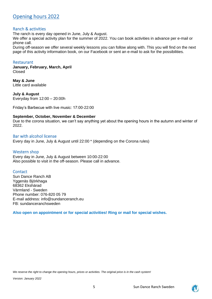## <span id="page-4-0"></span>Opening hours 2022

#### <span id="page-4-1"></span>Ranch & activities

The ranch is every day opened in June, July & August.

We offer a special activity plan for the summer of 2022. You can book activities in advance per e-mail or phone call.

During off-season we offer several weekly lessons you can follow along with. This you will find on the next page of this activity information book, on our Facebook or sent an e-mail to ask for the possibilities.

#### <span id="page-4-2"></span>Restaurant

**January, February, March, April**  Closed

**May & June** Little card available

**July & August** Everyday from 12:00 – 20:00h

Friday's Barbecue with live music: 17:00-22:00

#### **September, October, November & December**

Due to the corona situation, we can't say anything yet about the opening hours in the autumn and winter of 2022.

<span id="page-4-3"></span>Bar with alcohol license Every day in June, July & August until 22:00 \* (depending on the Corona rules)

#### <span id="page-4-4"></span>Western shop

Every day in June, July & August between 10:00-22:00 Also possible to visit in the off-season. Please call in advance.

#### <span id="page-4-5"></span>**Contact**

Sun Dance Ranch AB Yggenäs Björkhaga 68362 Ekshärad Värmland - Sweden Phone number: 076-820 05 79 E-mail address: info@sundanceranch.eu FB: sundanceranchsweden

**Also open on appointment or for special activities! Ring or mail for special wishes.**

*We reserve the right to change the opening hours, prices or activities. The original price is in the cash system!*

*Version: January 2022*

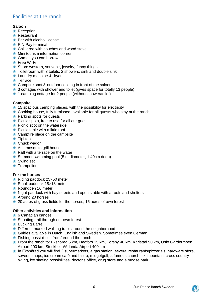## <span id="page-5-0"></span>Facilities at the ranch

#### **Saloon**

- $\star$  Reception
- **\*** Restaurant
- $\star$  Bar with alcohol license
- $\star$  PIN Pay terminal
- **\*** Chill area with couches and wood stove
- $\star$  Mini tourism information corner
- **\*** Games you can borrow
- **★ Free Wi-Fi**
- **\*** Shop: western, souvenir, jewelry, funny things
- $\star$  Toiletroom with 3 toilets, 2 showers, sink and double sink
- **Laundry machine & dryer**
- $\star$  Terrace
- $\star$  Campfire spot & outdoor cooking in front of the saloon
- $\star$  3 cottages with shower and toilet (gives space for totally 13 people)
- $\star$  1 camping cottage for 2 people (without shower/toilet)

#### **Campsite**

- $\star$  15 spacious camping places, with the possibility for electricity
- $\star$  Cooking house, fully furnished, available for all quests who stay at the ranch
- $\star$  Parking spots for quests
- $\star$  Picnic spots, free to use for all our quests
- $\star$  Picnic spot on the waterside
- $\star$  Picnic table with a little roof
- $\star$  Campfire place on the campsite
- $\star$  Tipi tent
- **\*** Chuck wagon
- $\star$  Anti mosquito grill house
- $\star$  Raft with a terrace on the water
- $\star$  Summer swimming pool (5 m diameter, 1.40cm deep)
- **\*** Swing set
- $\star$  Trampoline

#### **For the horses**

- ★ Riding paddock 25×50 meter
- ★ Small paddock 18×18 meter
- ★ Roundpen 16 meter
- $\star$  Night paddock with hay streets and open stable with a roofs and shelters
- $\star$  Around 20 horses
- $\star$  20 acres of grass fields for the horses, 15 acres of own forest

#### **Other activities and information**

- ★ 6 Canadian canoes
- ★ Shooting trail through our own forest
- ★ Bucking Barrel
- $\star$  Different marked walking trails around the neighborhood
- Guides available in Dutch, English and Swedish. Sometimes even German.
- $\star$  Fishing possibilities from/around the ranch
- ★ From the ranch to: Ekshärad 5 km, Hagfors 15 km, Torsby 40 km, Karlstad 90 km, Oslo Gardermoen Airport 200 km, Stockholm/Arlanda Airport 400 km
- $\star$  In Ekshärad you will find 2 supermarkets, a gas station, several restaurants/pizzeria's, hardware store, several shops, ice cream café and bistro, midgetgolf, a famous church, ski mountain, cross country skiing, ice skating possibilities, doctor's office, drug store and a moose park.

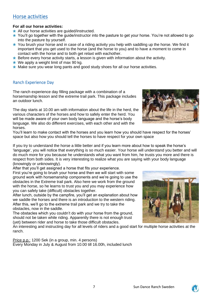## <span id="page-6-0"></span>Horse activities

#### **For all our horse activities:**

- $\star$  All our horse activities are quided/instructed.
- ★ You'll go together with the guide/instructor into the pasture to get your horse. You're not allowed to go into the pasture by yourself.
- ★ You brush your horse and in case of a riding activity you help with saddling up the horse. We find it important that you get used to the horse (and the horse to you) and to have a moment to come in contact with the horse and to both get relaxt with eachother.
- $\star$  Before every horse activity starts, a lesson is given with information about the activity.
- $\star$  We apply a weight limit of max 90 kg.
- $\star$  Make sure you wear long pants and good study shoes for all our horse activities.

#### <span id="page-6-1"></span>Ranch Experience Day

The ranch experience day filling package with a combination of a horsemanship lesson and the extreme trail park. This package includes an outdoor lunch.

The day starts at 10.00 am with information about the life in the herd, the various characters of the horses and how to safely enter the herd. You will be made aware of your own body language and the horse's body language. We also do different exercises, with each other and with the horses.

You'll learn to make contact with the horses and you learn how you should have respect for the horses' space but also how you should tell the horses to have respect for your own space

If you try to understand the horse a little better and if you learn more about how to speak the horse's 'language', you will notice that everything is so much easier. Your horse will understand you better and will do much more for you because he understands what you want from him, he trusts you more and there is respect from both sides. It is very interesting to realize what you are saying with your body language (knowingly or unknowingly).

After that you'll get assigned a horse that fits your experience. First you're going to brush your horse and then we will start with some ground work with horsemanship components and we're going to use the obstacles in the Extreme trail park. Also here we work from the ground with the horse, so he learns to trust you and you may experience how you can safely take (difficult) obstacles together.

After lunch, outside by the campfire, you'll get an explanation about how we saddle the horses and there is an introduction to the western riding. After this, we'll go to the extreme trail park and we try to take the obstacles, now in the saddle.

The obstacles which you couldn't do with your horse from the ground, should not be taken while riding. Apparently there is not enough trust (yet) between rider and horse to take those difficult obstacles.

An interesting and instructing day for all levels of riders and a good start for multiple horse activities at the ranch.

Price p.p.: 1200 Sek (in a group, min. 4 persons) Every Monday in July & August from 10.00 till 16.00h, included lunch



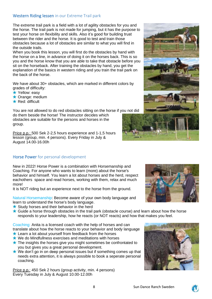## <span id="page-7-0"></span>Western Riding lessen in our Extreme Trail park

The extreme trail park is a field with a lot of agility obstacles for you and the horse. The trail park is not made for jumping, but it has the purpose to test your horse on flexibility and skills. Also it's good for building trust between the rider and the horse. It is good to test and train those obstacles because a lot of obstacles are similar to what you will find in the outside trails.

When you book this lesson, you will first do the obstacles by hand with the horse on a line, in advance of doing it on the horses back. This is so you and the horse know that you are able to take that obstacle before you sit on the horseback. After training the obstacles by hand, you get the explanation of the basics in western riding and you train the trail park on the back of the horse.

We have about 30+ obstacles, which are marked in different colors by grades of difficulty:

- **\*** Yellow: easy
- **\*** Orange: medium
- **Red:** difficult

You are not allowed to do red obstacles sitting on the horse if you not did

do them beside the horse! The instructor decides which obstacles are suitable for the persons and horses in the group.

Price p.p.: 500 Sek 2-2,5 hours experience and 1-1,5 hours lesson (group, min. 4 persons). Every Friday in July & August 14.00-16.00h

## <span id="page-7-1"></span>Horse Power for personal development

New in 2022! Horse Power is a combination with Horsemanship and Coaching. For anyone who wants to learn (more) about the horse's behavior and himself. You learn a lot about horses and the herd, respect eachothers space and read horses, working with them, relax and much more!

It is NOT riding but an experience next to the horse from the ground.

Natural Horsemanship: Become aware of your own body language and learn to understand the horse's body language.

- $\star$  Study horses and their behavior in the herd
- $\star$  Guide a horse through obstacles in the trail park (obstacle course) and learn about how the horse responds to your leadership, how he reacts (or NOT reacts) and how that makes you feel.

Coaching: Anita is a licensed coach with the help of horses and can translate about how the horse reacts to your behavior and body language

- **Learn a lot about yourself from feedback from the horses**
- ★ We do Mindfullness exercises and meditations with horses
- $\star$  The insights the horses give you might sometimes be confrontated to you but gives you a great personal development.
- $\star$  We don't go in on deep personal issues but if something comes up that needs extra attention, it is always possible to book a seperate personal coaching.

Price p.p.: 450 Sek 2 hours (group activity, min. 4 persons) Every Tuesday in July & August 10.00-12.00h









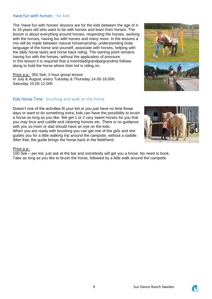#### <span id="page-8-0"></span>Have fun with horses – for kids

The 'Have fun with horses' lessons are for the kids between the age of 4 to 16 years old who want to be with horses and learn from horses. The lesson is about everything around horses, respecting the horses, working with the horses, having fun with horses and many more. In the lessons a mix will be made between natural horsemanship, understanding body language of the horse and yourself, associate with horses, helping with the daily horse tasks and horse back riding. The starting point remains having fun with the horses, without the application of pressure. In this lesson it is required that a mom/dad/grandpa/grandma follows along to hold the horse where their kid is riding on.

#### Price p.p.: 350 Sek, 2-hour group lesson

In July & August, every Tuesday & Thursday 14.00-16.00h, Saturday 10.00-12.00h

#### <span id="page-8-1"></span>Kids Horse Time - brushing and walk on the horse

Doesn't one of the activities fit your kid or you just have no time those days or want to do something extra; kids can have the possibility to brush a horse as long as you like. We get 1 or 2 very sweet horses for you that you may brus and cuddle and cleaning hooves etc. There is no guidance with you so mom or dad should have an eye on the kids.

When you are ready with brushing you can get one of the girls and she guides you for a little walking trip around the campsite, without a saddle. After that, the guide brings the horse back in the field/herd.

#### Price p.p.:

100 Sek – per kid, just ask at the bar and somebody will get you a horse. No need to book. Take as long as you like to brush the horse, followed by a little walk around the campsite



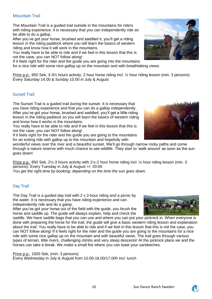#### <span id="page-9-0"></span>Mountain Trail

The Mountain Trail is a guided trail outside in the mountains for riders with riding experience. It is necessary that you can independently ride an be able to do a gallop.

After you've got your horse, brushed and saddled it, you'll get a riding lesson in the riding paddock where you will learn the basics of western riding and know how it will work in the mountains.

You really have to be able to ride and if we feel in this lesson that this is not the case, you can NOT follow along!

If it feels right for the rider and the guide you are going into the mountains

for a nice ride with some nice gallop up on the mountain and with breathtaking views.

Price p.p.: 850 Sek, 3-3½ hours activity, 2 hour horse riding incl. 1⁄2 hour riding lesson (min. 3 persons) Every Saturday 14.00 & Sunday 10.00 in July & August

#### <span id="page-9-1"></span>Sunset Trail

The Sunset Trail is a guided trail during the sunset. It is necessary that you have riding experience and that you can do a gallop independently. After you've got your horse, brushed and saddled, you'll get a little riding lesson in the riding paddock so you will learn the basics of western riding and know how it works in the mountains.

You really have to be able to ride and if we feel in this lesson that this is not the case, you can NOT follow along!

If it feels right for the rider and the guide you are going to the mountains for an exiting ride with gallop up to the mountain and hopefully with

wonderful views over the river and a beautiful sunset. We'll go through narrow rocky paths and come through a nature reserve with much chance to see wildlife. They start to 'walk around' as soon as the sun goes down!

Price p.p.: 850 Sek, 2½-3 hours activity with 1½-2 hour horse riding incl. ½ hour riding lesson (min. 3 persons). Every Tuesday in July & August +/- 20:00

*You get the right time by booking, depending on the time the sun goes down.*

#### <span id="page-9-2"></span>Day Trail

The Day Trail is a guided day trail with 2 x 2-hour riding and a picnic by the water. It is necessary that you have riding experience and can independently ride and do a galop.

After you've got your horse out of the field with the guide, you brush the horse and saddle up. The guide will always explain, help and check the

saddle. We have saddle bags that you can use and where you can put your picknick in. When everyone is done with preparing the horse for the trail, the guide will give a basic western riding lesson and explanation about the trail. You really have to be able to ride and if we feel in this lesson that this is not the case, you can NOT follow along! If it feels right for the rider and the guide you are going to the mountains for a nice ride with some nice gallop up on the mountain and with beautiful views. The trail goes through various types of terrain, little rivers, challenging climbs and very steep descents! At the picknick place we and the horses can take a break. We make a small fire where you can toast your sandwiches.

Price p.p.: 1500 Sek, (min. 3 persons) Every Wednesday in July & August from 10.00-16.00/17.00h incl. lunch







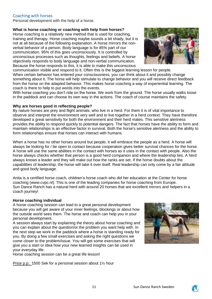#### <span id="page-10-0"></span>Coaching with horses

Personal development with the help of a horse.

#### **What is horse coaching or coaching with help from horses?**

Horse coaching is a relatively new method that is used for coaching, training and therapy. Horse coaching maybe sounds a bit shady, but it is not at all because of the following explanation. A horse mirrors the nonverbal behavior of a person. Body language is for 85% part of our communication. 95% of this goes unconsciously. It is controlled by unconscious processes such as thoughts, feelings and beliefs. A horse objectively responds to body language and non-verbal communication. Because the horse responds to this, it is able to make this unconscious



communication visible and respond to it. Often this is the biggest learning lesson for people. When certain behavior has entered your consciousness, you can think about it and possibly change something about it. The horse will help stimulate to change behavior and you will receive direct feedback from the horse on the adapted behavior. This makes horse coaching a way of experiential learning. The coach is there to help to put words into the events.

With horse coaching you don't ride on the horse. We work from the ground. The horse usually walks loose in the paddock and can choose its own way in the actions. The coach of course maintains the safety.

#### **Why are horses good in reflecting people?**

By nature horses are prey and flight animals, who live in a herd. For them it is of vital importance to observe and interpret the environment very well and to live together in a herd context. They have therefore developed a great sensitivity for both the environment and their herd mates. This sensitive alertness provides the ability to respond quickly to potential dangers. The fact that horses have the ability to form and maintain relationships is an effective factor in survival. Both the horse's sensitive alertness and the ability to form relationships ensure that horses can interact with humans.

When a horse has no other horses around but people, it will embrace the people as a herd. A horse will always be looking for / be open to contact because cooperation gives better survival chances for the horse. A horse will use the same abilities in the contact with horses as it uses in the contact with people. Also the horse always checks whether that person is a good herd companion and where the leadership lies. A herd always knows a leader and they will make out how the ranks are set. If the horse doubts about the capabilities of leadership, the horse will take it over itself. Real leadership can only come by a fair attitude and good body language.

Anita is a certified horse coach, children's horse coach who did her education at the Center for horse coaching (www.cvpc.nl). This is one of the leading companies for horse coaching from Europe. Sun Dance Ranch has a natural herd with around 20 horses that are excellent mirrors and helpers in a coach journey!

#### **Horse coaching individual**

A horse coaching session can lead to a great personal development because you will get aware of your inner feelings, blockings or about how the outside world sees them. The horse and coach can help you in your personal development.

A session always start by explaining the theory about horse coaching and you can explain about the question/or the problem you want help with. In the next step we work in the paddock where a horse is standing ready for you. By doing a few small exercises and asking the right questions we come closer to the problem/issue. You will get some exercises that will give you a start or idea how your new learned insights can be used in your everyday life.

Horse coaching session can be a great life lesson!

Price p.p.: 1500 Sek for a personal session about 1½ hour



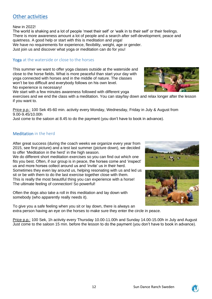## <span id="page-11-0"></span>Other activities

#### New in 2022!

The world is shaking and a lot of people 'meet their self' or 'walk in to their self' or their feelings. There is more awareness amount a lot of people and a search after self-development, peace and quietness. A good help or start with this is meditation and yoga! We have no requirements for experience, flexibility, weight, age or gender. Just join us and discover what yoga or meditation can do for you!

#### <span id="page-11-1"></span>Yoga at the waterside or close to the horses

This summer we want to offer yoga classes outside at the waterside and close to the horse fields. What is more peaceful than start your day with yoga connected with horses and in the middle of nature. The classes won't be too difficult and everybody follows on his own level.

No experience is necessary!

We start with a few minutes awareness followed with different yoga exercises and we end the class with a meditation. You can stay/lay down and relax longer after the lesson if you want to.

Price p.p.: 100 Sek 45-60 min. activity every Monday, Wednesday, Friday in July & August from 9.00-9.45/10.00h

Just come to the saloon at 8.45 to do the payment (you don't have to book in advance).

#### <span id="page-11-2"></span>Meditation in the herd

After great success (during the coach weeks we organize every year from 2015, see first picture) and a test last summer (picture down), we decided to offer 'Meditation in the herd' in the high season.

We do different short meditation exercises so you can find out which one fits you best. Often, if our group is in peace, the horses come and 'inspect' us and more horses collect around us and 'invite' us in their herd. Sometimes they even lay around us, helping resonating with us and led us sit or be with them to do the last exercise together close with them. This is really the most beautiful thing you can experience with a horse! The ultimate feeling of connection! So powerful!

Often the dogs also take a roll in this meditation and lay down with somebody (who apparently really needs it).

To give you a safe feeling when you sit or lay down, there is always an extra person having an eye on the horses to make sure they enter the circle in peace.

Price p.p.: 100 Sek, 1h activity every Thursday 10.00-11.00h and Sunday 14.00-15.00h in July and August Just come to the saloon 15 min. before the lesson to do the payment (you don't have to book in advance).







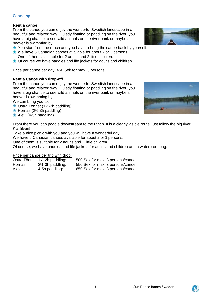#### <span id="page-12-0"></span>**Canoeing**

#### **Rent a canoe**

From the canoe you can enjoy the wonderful Swedish landscape in a beautiful and relaxed way. Quietly floating or paddling on the river, you have a big chance to see wild animals on the river bank or maybe a beaver is swimming by.

- $\star$  You start from the ranch and you have to bring the canoe back by yourself.
- $\star$  We have 6 Canadian canoes available for about 2 or 3 persons. One of them is suitable for 2 adults and 2 little children.
- $\star$  Of course we have paddles and life jackets for adults and children.

Price per canoe per day: 450 Sek for max. 3 persons

#### **Rent a Canoe with drop-off**

From the canoe you can enjoy the wonderful Swedish landscape in a beautiful and relaxed way. Quietly floating or paddling on the river, you have a big chance to see wild animals on the river bank or maybe a beaver is swimming by.

We can bring you to:

- Östra Tönnet (1½-2h paddling)
- $\star$  Hornäs (2½-3h paddling)

 $\star$  Alevi (4-5h paddling)

From there you can paddle downstream to the ranch. It is a clearly visible route, just follow the big river Klarälven!

Take a nice picnic with you and you will have a wonderful day!

We have 6 Canadian canoes available for about 2 or 3 persons.

One of them is suitable for 2 adults and 2 little children.

Of course, we have paddles and life jackets for adults and children and a waterproof bag.

#### Price per canoe per trip with drop:

|        | Östra Tönnet 1½-2h paddling: | 500 Sek for max. 3 persons/canoe |
|--------|------------------------------|----------------------------------|
| Hornäs | $2\frac{1}{2}$ -3h paddling: | 550 Sek for max. 3 persons/canoe |
| Alevi  | 4-5h paddling:               | 650 Sek for max. 3 persons/canoe |





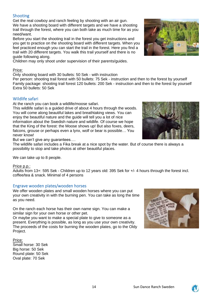#### <span id="page-13-0"></span>Shooting

Get the real cowboy and ranch feeling by shooting with an air gun. We have a shooting board with different targets and we have a shooting trail through the forest, where you can both take as much time for as you need/want.

Before you start the shooting trail in the forest you get instructions and you get to practice on the shooting board with different targets. When you feel practiced enough you can start the trail in the forest. Here you find a trail with 20 different targets. You walk this trail yourself and there is no guide following along.

Children may only shoot under supervision of their parents/guides.

#### Price:

Only shooting board with 30 bullets: 50 Sek - with instruction

Per person: shooting trail forest with 50 bullets: 75 Sek - instruction and then to the forest by yourself Family package: shooting trail forest 120 bullets: 200 Sek - instruction and then to the forest by yourself Extra 50 bullets: 50 Sek

#### <span id="page-13-1"></span>Wildlife safari

At the ranch you can book a wildlife/moose safari.

This wildlife safari is a guided drive of about 4 hours through the woods. You will come along beautiful lakes and breathtaking views. You can enjoy the beautiful nature and the guide will tell you a lot of nice information about the Swedish nature and wildlife. Of course we hope that the King of the forest: the Moose shows up! But also foxes, deers, falcons, grouse or perhaps even a lynx, wolf or bear is possible… You never know!

But we can't give any guarantees….

The wildlife safari includes a Fika break at a nice spot by the water. But of course there is always a possibility to stop and take photos at other beautiful places.

We can take up to 8 people.

#### Price p.p.:

Adults from 13+: 595 Sek - Children up to 12 years old: 395 Sek for +/- 4 hours through the forest incl. coffee/tea & snack. Minimal of 4 persons

#### <span id="page-13-2"></span>Engrave wooden plates/wooden horses

We offer wooden plates and small wooden horses where you can put your own creativity in with the burning pen. You can take as long the time as you need.

On the ranch each horse has their own name sign. You can make a similar sign for your own horse or other pet.

Or maybe you want to make a special plate to give to someone as a present. Everything is possible, as long as you use your own creativity. The proceeds of the costs for burning the wooden plates, go to the Oldy Project.

Price: Small horse: 30 Sek Big horse: 50 Sek Round plate: 50 Sek Oval plate: 70 Sek







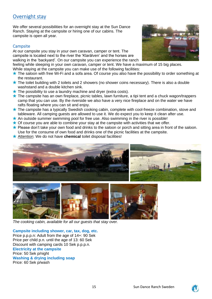## <span id="page-14-0"></span>Overnight stay

We offer several possibilities for an overnight stay at the Sun Dance Ranch. Staying at the campsite or hiring one of our cabins. The campsite is open all year.

#### <span id="page-14-1"></span>**Campsite**

At our campsite you stay in your own caravan, camper or tent. The campsite is located next to the river the 'Klarälven' and the horses are walking in the 'backyard'. On our campsite you can experience the ranch

feeling while sleeping in your own caravan, camper or tent. We have a maximum of 15 big places.

- While staying at the campsite you can make use of the following facilities:
- ★ The saloon with free Wi-Fi and a sofa area. Of course you also have the possibility to order something at the restaurant.
- The toilet building with 2 toilets and 2 showers (no shower coins necessary). There is also a double washstand and a double kitchen sink.
- $\star$  The possibility to use a laundry machine and dryer (extra costs).
- $\star$  The campsite has an own fireplace, picnic tables, lawn furniture, a tipi tent and a chuck wagon/trappers camp that you can use. By the riverside we also have a very nice fireplace and on the water we have rafts floating where you can sit and enjoy.
- **The campsite has a typically Swedish cooking cabin, complete with cool-freeze combination, stove and** tableware. All camping guests are allowed to use it. We do expect you to keep it clean after use.
- An outside summer swimming pool for free use. Also swimming in the river is possible!
- $\star$  Of course you are able to combine your stay at the campsite with activities that we offer.
- $\star$  Please don't take your own food and drinks to the saloon or porch and sitting area in front of the saloon. Use for the consume of own food and drinks one of the picnic facilities at the campsite.
- Attention: We do not have **chemical** toilet disposal facilities!





*The cooking cabin, available for all our guests that stay over.*

**Campsite including shower, car, tax, dog, etc.** Price p.p.p.n: Adult from the age of 14+: 90 Sek Price per child p.n. until the age of 13: 60 Sek Discount with camping cards 10 Sek p.p.p.n. **Electricity at the campsite** Price: 50 Sek p/night **Washing & drying including soap** Price: 60 Sek p/wash



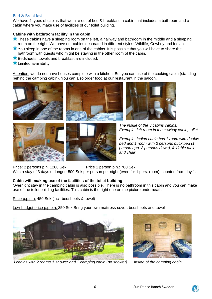#### <span id="page-15-0"></span>Bed & Breakfast

We have 2 types of cabins that we hire out of bed & breakfast; a cabin that includes a bathroom and a cabin where you make use of facilities of our toilet building.

#### **Cabins with bathroom facility in the cabin**

- These cabins have a sleeping room on the left, a hallway and bathroom in the middle and a sleeping room on the right. We have our cabins decorated in different styles: Wildlife, Cowboy and Indian.
- You sleep in one of the rooms in one of the cabins. It is possible that you will have to share the bathroom with guests who might be staying in the other room of the cabin.
- **Bedsheets, towels and breakfast are included.**
- **K** Limited availability

Attention: we do not have houses complete with a kitchen. But you can use of the cooking cabin (standing behind the camping cabin). You can also order food at our restaurant in the saloon.







*The inside of the 3 cabins cabins: Exemple: left room in the cowboy cabin, toilet*

*Exemple: indian cabin has 1 room with double bed and 1 room with 3 persons buck bed (1 person upp, 2 persons down), foldable table and chair*

Price: 2 persons p.n. 1200 Sek Price 1 person p.n.: 700 Sek With a stay of 3 days or longer: 500 Sek per person per night (even for 1 pers. room), counted from day 1.

#### **Cabin with making use of the facilities of the toilet building**

Overnight stay in the camping cabin is also possible. There is no bathroom in this cabin and you can make use of the toilet building facilities. This cabin is the right one on the picture underneath.

Price p.p.p.n: 450 Sek (incl. bedsheets & towel)

Low-budget price p.p.p.n: 350 Sek Bring your own mattress-cover, bedsheets and towel



*3 cabins with 2 rooms & shower and 1 camping cabin (no shower) Inside of the camping cabin*



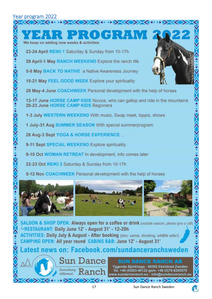#### <span id="page-16-0"></span>Year program 2022 HER CORRECTED CONTRACTOR  $\iff$   $\ll$

**SASSAS** 



We keep on adding new weeks & activities

23-24 April REIKI 1 Saturday & Sunday from 10-17h

29 April-1 May RANCH WEEKEND Explore the ranch life

5-8 May BACK TO NATIVE a Native Awareness Journey

15-21 May FEEL GOOD WEEK Explore your spirituality

28 May-4 June COACHWEEK Personal development with the help of horses

13-17 June HORSE CAMP KIDS Novice, who can gallop and ride in the mountains 20-23 June HORSE CAMP KIDS Beginners

1-3 July WESTERN WEEKEND With music, Swap meet, loppis, shows

1 July-31 Aug SUMMER SEASON With special summerprogram

28 Aug-3 Sept YOGA & HORSE EXPERIENCE ...

9-11 Sept SPECIAL WEEKEND Explore spirituality

9-15 Oct WOMAN RETREAT In development, info comes later

22-23 Oct REIKI 2 Saturday & Sunday from 10-17h

Sun I

Something

different!

5-12 Nov COACHWEEK Personal development with the help of horses



SALOON & SHOP OPEN: Always open for a coffee or drink (outside season, please give a call) +RESTAURANT: Daily June 12' - August 31' - 12-20h **ACTIVITIES: Daily July & August - After booking (also: canoe, shooting, wildlife safari)** CAMPING OPEN: All year round CABINS B&B: June 12' - August 31'

Latest news on: Facebook.com/sundanceranchsweden

## I DANCE RANGH AF

Yggenäs Björkhaga - 68362 Ekshärad Zweden Tel. +46 (0)563-40122 gsm: +46 (0)76-8200579 www.sundanceranch.eu - info@sundanceranch.eu

**CONTRACTOR CONTRACT** 

Jance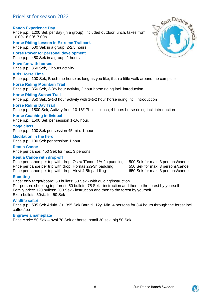## <span id="page-17-0"></span>Pricelist for season 2022

#### **Ranch Experience Day**

Price p.p.: 1200 Sek per day (in a group), included outdoor lunch, takes from 10.00-16.00/17.00h

**Horse Riding Lesson in Extreme Trailpark** Price p.p.: 500 Sek in a group, 2-2,5 hours

**Horse Power for personal development** Price p.p.: 450 Sek in a group, 2 hours

#### **Have fun with horses**

Price p.p.: 350 Sek, 2 hours activity

#### **Kids Horse Time**

Price p.p.: 100 Sek, Brush the horse as long as you like, than a little walk around the campsite

#### **Horse Riding Mountain Trail**

Price p.p.: 850 Sek, 3-3½ hour activity, 2 hour horse riding incl. introduction

#### **Horse Riding Sunset Trail**

Price p.p.: 850 Sek, 2½-3 hour activity with 1½-2 hour horse riding incl. introduction

#### **Horse Riding Day Trail**

Price p.p.: 1500 Sek, Activity from 10-16/17h incl. lunch, 4 hours horse riding incl. introduction

#### **Horse Coaching individual**

Price p.p.: 1500 Sek per session 1-1½ hour.

#### **Yoga class**

Price p.p.: 100 Sek per session 45 min.-1 hour

**Meditation in the herd** Price p.p.: 100 Sek per session: 1 hour

**Rent a Canoe** Price per canoe: 450 Sek for max. 3 persons

#### **Rent a Canoe with drop-off**

Price per canoe per trip with drop: Östra Tönnet 1½-2h paddling: 500 Sek for max. 3 persons/canoe Price per canoe per trip with drop: Hornäs 2½-3h paddling: 550 Sek for max. 3 persons/canoe Price per canoe per trip with drop: Alevi 4-5h paddling: 650 Sek for max. 3 persons/canoe

#### **Shooting**

Price: only target/board: 30 bullets: 50 Sek - with guiding/instruction Per person: shooting trip forest: 50 bullets: 75 Sek - instruction and then to the forest by yourself Family price: 120 bullets: 200 Sek - instruction and then to the forest by yourself Extra bullets: 50st.: for 50 Sek

#### **Wildlife safari**

Price p.p.: 595 Sek Adult/13+, 395 Sek Barn till 12y. Min. 4 persons for 3-4 hours through the forest incl. coffee/tea

#### **Engrave a nameplate**

Price circle: 50 Sek – oval 70 Sek or horse: small 30 sek, big 50 Sek



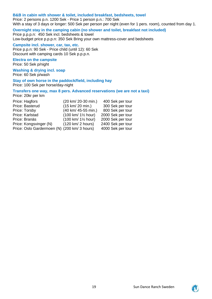#### **B&B in cabin with shower & toilet, included breakfast, bedsheets, towel**

Price: 2 persons p.n. 1200 Sek - Price 1 person p.n.: 700 Sek With a stay of 3 days or longer: 500 Sek per person per night (even for 1 pers. room), counted from day 1.

#### **Overnight stay in the camping cabin (no shower and toilet, breakfast not included)**

Price p.p.p.n: 450 Sek incl. bedsheets & towel Low-budget price p.p.p.n: 350 Sek Bring your own mattress-cover and bedsheets

#### **Campsite incl. shower, car, tax, etc.**

Price p.p.n: 90 Sek - Price child (until 12): 60 Sek Discount with camping cards 10 Sek p.p.p.n.

**Electra on the campsite** Price: 50 Sek p/night

**Washing & drying incl. soap** Price: 60 Sek p/wash

## **Stay of own horse in the paddock/field, including hay**

Price: 100 Sek per horse/day-night

#### **Transfers one way, max 8 pers. Advanced reservations (we are not a taxi)**

Price: 20kr per km

| Price: Hagfors             | (20 km/ 20-30 min.)                 | 400 Sek per tour  |
|----------------------------|-------------------------------------|-------------------|
| Price: Basterud            | (15 km/ 20 min.)                    | 300 Sek per tour  |
| Price: Torsby              | (40 km/ 45-55 min.)                 | 800 Sek per tour  |
| Price: Karlstad            | (100 km/ 11/2 hour)                 | 2000 Sek per tour |
| Price: Branäs              | (100 km/ 11/2 hour)                 | 2000 Sek per tour |
| Price: Kongsvinger (N)     | $(120 \text{ km}/ 2 \text{ hours})$ | 2400 Sek per tour |
| Price: Oslo Gardermoen (N) | $(200 \text{ km}/ 3 \text{ hours})$ | 4000 Sek per tour |

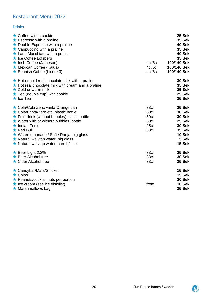## <span id="page-19-0"></span>Restaurant Menu 2022

## **Drinks**

| $\star$ Coffee with a cookie<br>$\star$ Espresso with a praline<br>Double Expresso with a praline<br>$\star$ Cappuccino with a praline<br>$\star$ Latte Macchiato with a praline<br><b>*</b> Ice Coffee Löfsberg<br>★ Irish Coffee (Jameson)<br>★ Mexican Coffee (Kalua)<br>★ Spanish Coffee (Licor 43)                                                   | 4cl/6cl<br>4cl/6cl<br>4cl/6cl                | 25 Sek<br><b>35 Sek</b><br>40 Sek<br><b>35 Sek</b><br>40 Sek<br><b>35 Sek</b><br>100/140 Sek<br>100/140 Sek<br>100/140 Sek |
|-----------------------------------------------------------------------------------------------------------------------------------------------------------------------------------------------------------------------------------------------------------------------------------------------------------------------------------------------------------|----------------------------------------------|----------------------------------------------------------------------------------------------------------------------------|
| ★ Hot or cold real chocolate milk with a praline<br>$\star$ Hot real chocolate milk with cream and a praline<br>$\star$ Cold or warm milk<br>$\star$ Tea (double cup) with cookie<br>$\star$ Ice Tea                                                                                                                                                      |                                              | <b>30 Sek</b><br><b>35 Sek</b><br>25 Sek<br>25 Sek<br><b>35 Sek</b>                                                        |
| ★ Cola/Cola Zero/Fanta Orange can<br>★ Cola/Fanta/Zero etc. plastic bottle<br>★ Fruit drink (without bubbles) plastic bottle<br>★ Water with or without bubbles, bottle<br><b>*</b> Indian Tonic<br><b>*</b> Red Bull<br>★ Water lemonade / Saft / Ranja, big glass<br>$\star$ Natural well/tap water, big glass<br>Natural well/tap water, can 1,2 liter | 33cl<br>50cl<br>50cl<br>50cl<br>25cl<br>33cl | 25 Sek<br><b>30 Sek</b><br><b>30 Sek</b><br>25 Sek<br><b>30 Sek</b><br><b>35 Sek</b><br><b>10 Sek</b><br>5 Sek<br>15 Sek   |
| $\star$ Beer Light 2,2%<br>★ Beer Alcohol free<br>Cider Alcohol free                                                                                                                                                                                                                                                                                      | 33cl<br>33cl<br>33cl                         | 25 Sek<br><b>30 Sek</b><br><b>35 Sek</b>                                                                                   |
| ★ Candybar/Mars/Snicker<br>$\star$ Chips<br>★ Peanuts/cocktail nuts per portion<br>$\star$ Ice cream (see ice disk/list)<br>$\star$ Marshmallows bag                                                                                                                                                                                                      | from                                         | 15 Sek<br>15 Sek<br>20 Sek<br><b>10 Sek</b><br><b>35 Sek</b>                                                               |

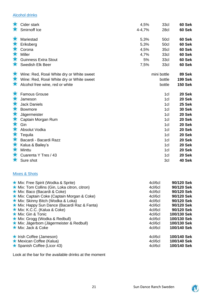#### Alcohol drinks

| ж       | Cider stark                                                | 4,5%   | 33cl               | 60 Sek                     |
|---------|------------------------------------------------------------|--------|--------------------|----------------------------|
| ж       | Smirnoff Ice                                               | 4-4,7% | 28cl               | 60 Sek                     |
| Х       | Mariestad                                                  | 5,3%   | 50cl               | 60 Sek                     |
| ★       | Eriksberg                                                  | 5,3%   | 50cl               | 60 Sek                     |
| $\star$ | Corona                                                     | 4,5%   | 35 <sub>cl</sub>   | 60 Sek                     |
| ★       | Miller                                                     | 4,7%   | 33cl               | 60 Sek                     |
| ★       | <b>Guinness Extra Stout</b>                                | 5%     | 33cl               | 60 Sek                     |
| *       | Swedish Elk Beer                                           |        |                    |                            |
|         |                                                            | 7,5%   | 33cl               | 60 Sek                     |
| Ж       | Wine: Red, Rosé White dry or White sweet                   |        | mini bottle        | 89 Sek                     |
| ж       | Wine: Red, Rosé White dry or White sweet                   |        | bottle             | <b>199 Sek</b>             |
| Ж       | Alcohol free wine, red or white                            |        | bottle             | <b>150 Sek</b>             |
| ж       | <b>Famous Grouse</b>                                       |        | 1cl                | 20 Sek                     |
| ★       | Jameson                                                    |        | 1cl                | 20 Sek                     |
| $\star$ | <b>Jack Daniels</b>                                        |        | 1cl                | 25 Sek                     |
| $\star$ | <b>Bowmore</b>                                             |        | 1cl                | <b>30 Sek</b>              |
| ★       | Jägermeister                                               |        | 1cl                | 20 Sek                     |
| $\star$ | Captain Morgan Rum                                         |        | 1cl                | 20 Sek                     |
| $\star$ | Gin                                                        |        | 1cl                | 20 Sek                     |
| $\star$ | Absolut Vodka                                              |        | 1cl                | 20 Sek                     |
| $\star$ | Tequila                                                    |        | 1cl                | 20 Sek                     |
| ★       | Bacardi - Bacardi Razz                                     |        | 1cl                | 20 Sek                     |
| $\star$ | Kalua & Bailey's                                           |        | 1cl                | 20 Sek                     |
| $\star$ | Minttu                                                     |        | 1cl                | 20 Sek                     |
| ★       | Cuarenta Y Tres / 43                                       |        | 1cl                | 20 Sek                     |
| ★       | Sure shot                                                  |        | 3cl                | 40 Sek                     |
|         | <b>Mixes &amp; Shots</b>                                   |        |                    |                            |
|         | Mix: Free Spirit (Wodka & Sprite)                          |        | 4cl/6cl            | 90/120 Sek                 |
|         | Mix: Tom Collins (Gin, Loka citron, citron)                |        | 4cl/6cl            | 90/120 Sek                 |
|         | Mix: Baco (Bacardi & Coke)                                 |        | 4cl/6cl            | 90/120 Sek                 |
|         | Mix: Captain Coke (Captain Morgan & Coke)                  |        | 4cl/6cl            | 90/120 Sek                 |
|         | Mix: Skinny Bitch (Wodka & Loka)                           |        | 4cl/6cl            | 90/120 Sek                 |
|         | Mix: Happy Sun Dance (Bacardi Raz & Fanta)                 |        | 4cl/6cl            | 90/120 Sek                 |
|         | Mix: K.C.C. (Kalua & Coke)                                 |        | 4cl/6cl            | 90/120 Sek                 |
|         | ★ Mix: Gin & Tonic                                         |        | 4cl/6cl            | 100/130 Sek                |
|         | ★ Mix: Grogg (Wodka & Redbull)                             |        | 4cl/6cl            | 100/130 Sek                |
|         | Mix: Jägerbom (Jägermeister & Redbull)<br>Mix: Jack & Coke |        | 4cl/6cl<br>4cl/6cl | 100/130 Sek<br>100/140 Sek |
|         |                                                            |        |                    |                            |
|         | ★ Irish Coffee (Jameson)                                   |        | 4cl/6cl            | 100/140 Sek                |
|         | ★ Mexican Coffee (Kalua)                                   |        | 4cl/6cl            | 100/140 Sek                |
|         | ★ Spanish Coffee (Licor 43)                                |        | 4cl/6cl            | 100/140 Sek                |

Look at the bar for the available drinks at the moment

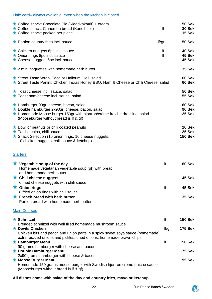| ★ Coffee snack: Chocolate Pie (Kladdkaka=If) + cream<br>Coffee snack: Cinnemon bread (Kanelbulle)<br>Coffee snack: packed per piece                                                                            | lf       | <b>50 Sek</b><br><b>30 Sek</b><br><b>15 Sek</b> |
|----------------------------------------------------------------------------------------------------------------------------------------------------------------------------------------------------------------|----------|-------------------------------------------------|
| ★ Portion country fries incl. sauce                                                                                                                                                                            | lf/gf    | <b>50 Sek</b>                                   |
| ★ Chicken nuggets 6pc incl. sauce<br>★ Onion rings 8pc incl. sauce<br>★ Cheese nuggets 6pc incl. sauce                                                                                                         | lf<br>If | 40 Sek<br>45 Sek<br>45 Sek                      |
| ★ 2 mini baguettes with homemade herb butter                                                                                                                                                                   |          | <b>35 Sek</b>                                   |
| ★ Street Taste Wrap: Taco or Halloumi Hell, salad<br>Street Taste Panini: Chicken Texas Honey BBQ, Ham & Cheese or Chili Cheese, salad                                                                         |          | 60 Sek<br>60 Sek                                |
| Toast cheese incl. sauce, salad<br>★ Toast ham/cheese incl. sauce, salad                                                                                                                                       |          | <b>50 Sek</b><br><b>55 Sek</b>                  |
| ★ Hamburger 90gr, cheese, bacon, salad<br>Double hamburger 2x90gr, cheese, bacon, salad<br>* Homemade Moose burger 150gr with hjortron/crème fraiche dressing, salad<br>(Mooseburger without bread is If & gf) |          | 60 Sek<br><b>90 Sek</b><br><b>125 Sek</b>       |
| ★ Bowl of peanuts or chili coated peanuts<br>Tortilla chips, chili sauce<br>Snack Selection (15 onion rings, 10 cheese nuggets,<br>10 chicken nuggets, chili sauce & ketchup)                                  |          | 20 Sek<br>25 Sek<br><b>150 Sek</b>              |
| <b>Starters</b>                                                                                                                                                                                                |          |                                                 |
| <b>X</b> Vegetable soup of the day<br>Homemade vegetarian vegetable soup (gf) with bread<br>and homemade herb butter                                                                                           | lf       | 60 Sek                                          |
| <b>X</b> Chili cheese nuggets                                                                                                                                                                                  |          | 45 Sek                                          |
|                                                                                                                                                                                                                |          |                                                 |
| 6 fried cheese nuggets with chili sauce<br><b>X</b> Onion rings                                                                                                                                                | lf       | 45 Sek                                          |
| 8 fried onion rings with chili sauce<br>French bread with herb butter<br>Portion bread with homemade herb butter                                                                                               |          | <b>35 Sek</b>                                   |
| <b>Main Courses</b>                                                                                                                                                                                            |          |                                                 |
| <b>*</b> Schnitzel                                                                                                                                                                                             | lf       | <b>150 Sek</b>                                  |
| Breaded schnitzel with well filled homemade mushroom sauce<br>★ Devils Chicken                                                                                                                                 | lf/gf    | <b>175 Sek</b>                                  |
| Chicken bits and peach and union parts in a spicy sweet soya sauce (homemade),<br>extra: pickled onions and pickles, dried onions, homemade prawn chips                                                        |          |                                                 |
| <b>*</b> Hamburger Menu<br>90 grams hamburger with cheese and bacon                                                                                                                                            | lf       | <b>150 Sek</b>                                  |
| <b>*</b> Double Hamburger Menu<br>2x90 grams hamburger with cheese & bacon                                                                                                                                     |          | <b>175 Sek</b>                                  |

**All dishes come with salad of the day and country fries, mayo or ketchup.**

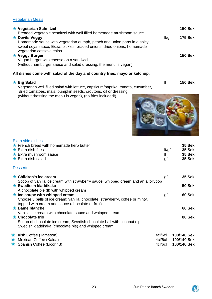#### Vegetarian Meals

Extra side dishes

| ★ Vegetarian Schnitzel                                                                                                                                                         |       | <b>150 Sek</b> |
|--------------------------------------------------------------------------------------------------------------------------------------------------------------------------------|-------|----------------|
| Breaded vegetable schnitzel with well filled homemade mushroom sauce<br><b>*</b> Devils Veggy                                                                                  | If/qf | <b>175 Sek</b> |
| Homemade sauce with vegetarian oumph, peach and union parts in a spicy<br>sweet soya sauce, Extra: pickles, pickled onions, dried onions, homemade<br>vegetarian cassava chips |       |                |
| ★ Veggy Burger<br>Vegan burger with cheese on a sandwich<br>(without hamburger sauce and salad dressing, the menu is vegan)                                                    |       | 150 Sek        |

#### **All dishes come with salad of the day and country fries, mayo or ketchup.**

| ★ Big Salad                                                                    | 150 Sek |
|--------------------------------------------------------------------------------|---------|
| Vegetarian well filled salad with lettuce, capsicum/paprika, tomato, cucumber, |         |

dried tomatoes, mais, pumpkin seeds, croutons, oil or dressing (without dressing the menu is vegan), (no fries included!)

|              | French bread with homemade herb butter<br>$\star$ Extra dish fries<br>$\star$ Extra mushroom sauce<br>★ Extra dish salad                                                                                      | If/gf<br>lf<br>gf             | <b>35 Sek</b><br><b>35 Sek</b><br><b>35 Sek</b><br><b>35 Sek</b> |
|--------------|---------------------------------------------------------------------------------------------------------------------------------------------------------------------------------------------------------------|-------------------------------|------------------------------------------------------------------|
|              | <b>Desserts</b>                                                                                                                                                                                               |                               |                                                                  |
|              | $\star$ Children's ice cream                                                                                                                                                                                  | gf                            | <b>35 Sek</b>                                                    |
|              | Scoop of vanilla ice cream with strawberry sauce, whipped cream and an a lollypop<br>★ Swedisch kladdkaka                                                                                                     |                               | <b>50 Sek</b>                                                    |
|              | A chocolate pie (If) with whipped cream<br>$\star$ Ice coupe with whipped cream                                                                                                                               | gf                            | 60 Sek                                                           |
|              | Choose 3 balls of ice cream: vanilla, chocolate, strawberry, coffee or minty,<br>topped with cream and sauce (chocolate or fruit)                                                                             |                               |                                                                  |
|              | $\star$ Dame blanche                                                                                                                                                                                          |                               | 60 Sek                                                           |
|              | Vanilla ice cream with chocolate sauce and whipped cream<br>★ Chocolate trio<br>Scoop of chocolate ice cream, Swedish chocolate ball with coconut dip,<br>Swedish kladdkaka (chocolate pie) and whipped cream |                               | 80 Sek                                                           |
| $\mathbf{r}$ | ★ Irish Coffee (Jameson)<br>Mexican Coffee (Kalua)<br>Spanish Coffee (Licor 43)                                                                                                                               | 4cl/6cl<br>4cl/6cl<br>4cl/6cl | 100/140 Sek<br>100/140 Sek<br>100/140 Sek                        |
|              |                                                                                                                                                                                                               |                               |                                                                  |